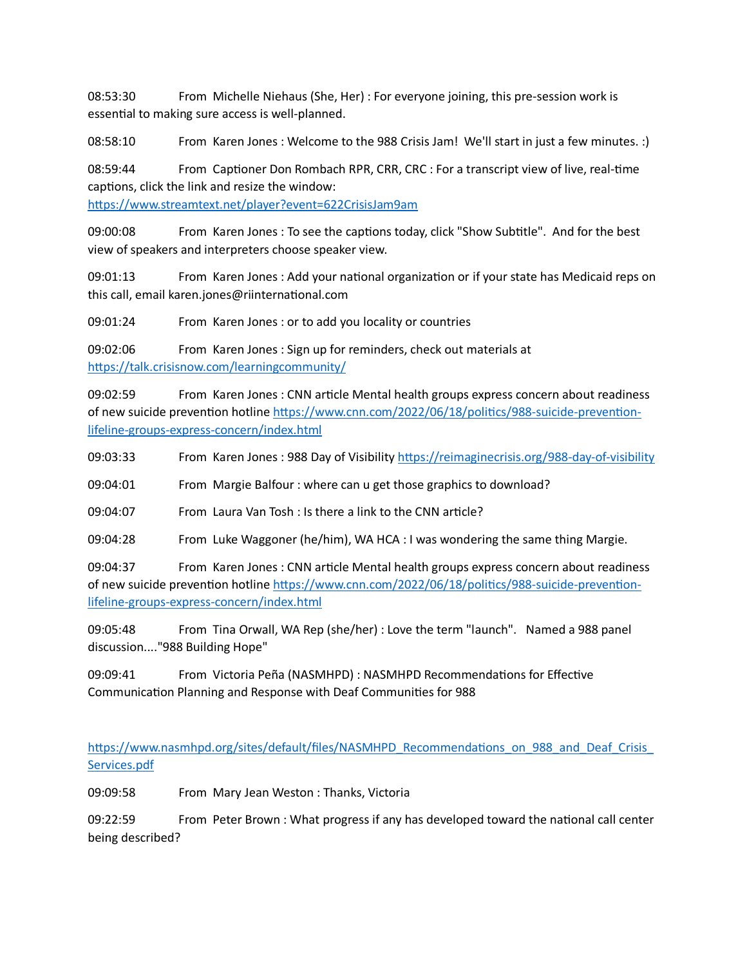08:53:30 From Michelle Niehaus (She, Her) : For everyone joining, this pre-session work is essential to making sure access is well-planned.

08:58:10 From Karen Jones : Welcome to the 988 Crisis Jam! We'll start in just a few minutes. :)

08:59:44 From Captioner Don Rombach RPR, CRR, CRC : For a transcript view of live, real-time captions, click the link and resize the window:

[htps://www.streamtext.net/player?event=622CrisisJam9am](https://www.streamtext.net/player?event=622CrisisJam9am)

09:00:08 From Karen Jones : To see the captions today, click "Show Subtitle". And for the best view of speakers and interpreters choose speaker view.

09:01:13 From Karen Jones : Add your national organization or if your state has Medicaid reps on this call, email karen.jones@riinternational.com

09:01:24 From Karen Jones : or to add you locality or countries

09:02:06 From Karen Jones : Sign up for reminders, check out materials at https://talk.crisisnow.com/learningcommunity/

09:02:59 From Karen Jones : CNN article Mental health groups express concern about readiness of new suicide prevention hotline https://www.cnn.com/2022/06/18/politics/988-suicide-preventionlifeline-groups-express-[concern/index.html](https://www.cnn.com/2022/06/18/politics/988-suicide-prevention-lifeline-groups-express-concern/index.html)

09:03:33 From Karen Jones : 988 Day of Visibility [htps://reimaginecrisis.org/988](https://reimaginecrisis.org/988-day-of-visibility)-day-of-visibility

09:04:01 From Margie Balfour : where can u get those graphics to download?

09:04:07 From Laura Van Tosh : Is there a link to the CNN article?

09:04:28 From Luke Waggoner (he/him), WA HCA : I was wondering the same thing Margie.

09:04:37 From Karen Jones : CNN article Mental health groups express concern about readiness of new suicide prevention hotline https://www.cnn.com/2022/06/18/politics/988-suicide-preventionlifeline-groups-express-[concern/index.html](https://www.cnn.com/2022/06/18/politics/988-suicide-prevention-lifeline-groups-express-concern/index.html)

09:05:48 From Tina Orwall, WA Rep (she/her) : Love the term "launch". Named a 988 panel discussion...."988 Building Hope"

09:09:41 From Victoria Peña (NASMHPD) : NASMHPD Recommendations for Effective Communication Planning and Response with Deaf Communities for 988

https://www.nasmhpd.org/sites/default/files/NASMHPD\_Recommendations\_on\_988\_and\_Deaf\_Crisis [Services.pdf](https://www.nasmhpd.org/sites/default/files/NASMHPD_Recommendations_on_988_and_Deaf_Crisis_Services.pdf) 

09:09:58 From Mary Jean Weston : Thanks, Victoria

09:22:59 From Peter Brown : What progress if any has developed toward the national call center being described?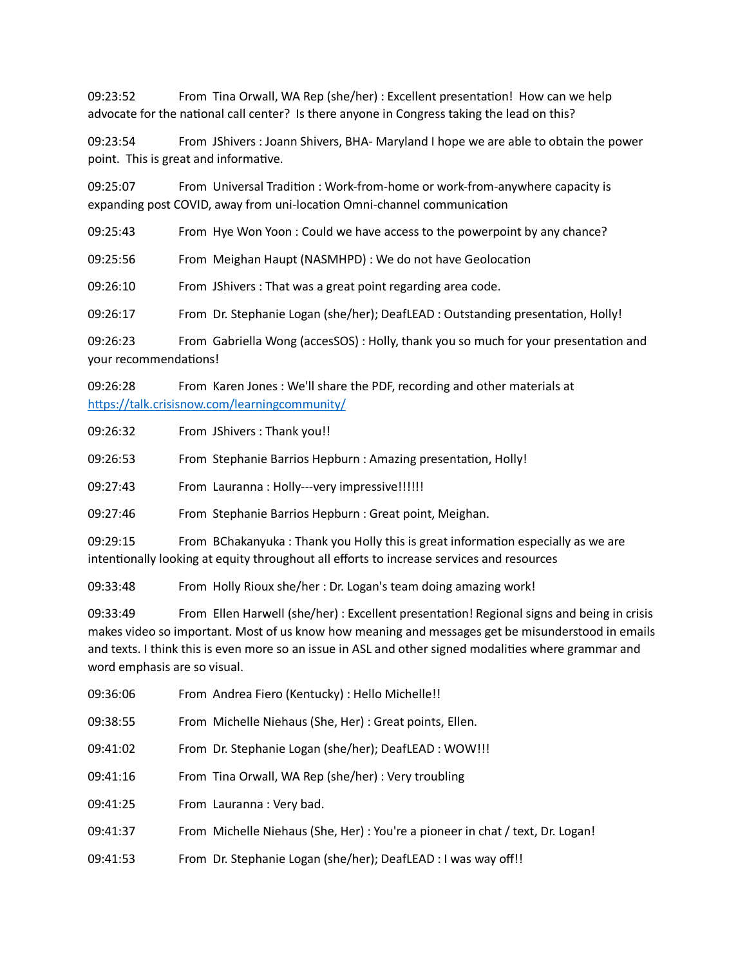09:23:52 From Tina Orwall, WA Rep (she/her) : Excellent presentation! How can we help advocate for the national call center? Is there anyone in Congress taking the lead on this?

09:23:54 From JShivers : Joann Shivers, BHA- Maryland I hope we are able to obtain the power point. This is great and informative.

09:25:07 From Universal Tradition : Work-from-home or work-from-anywhere capacity is expanding post COVID, away from uni-location Omni-channel communication

09:25:43 From Hye Won Yoon : Could we have access to the powerpoint by any chance?

09:25:56 From Meighan Haupt (NASMHPD) : We do not have Geolocation

09:26:10 From JShivers : That was a great point regarding area code.

09:26:17 From Dr. Stephanie Logan (she/her); DeafLEAD : Outstanding presentation, Holly!

09:26:23 From Gabriella Wong (accesSOS) : Holly, thank you so much for your presentation and your recommendations!

09:26:28 From Karen Jones : We'll share the PDF, recording and other materials at https://talk.crisisnow.com/learningcommunity/

09:26:32 From JShivers : Thank you!!

09:26:53 From Stephanie Barrios Hepburn : Amazing presentation, Holly!

09:27:43 From Lauranna : Holly---very impressive!!!!!!

09:27:46 From Stephanie Barrios Hepburn : Great point, Meighan.

09:29:15 From BChakanyuka : Thank you Holly this is great information especially as we are intentionally looking at equity throughout all efforts to increase services and resources

09:33:48 From Holly Rioux she/her : Dr. Logan's team doing amazing work!

09:33:49 From Ellen Harwell (she/her) : Excellent presentation! Regional signs and being in crisis makes video so important. Most of us know how meaning and messages get be misunderstood in emails and texts. I think this is even more so an issue in ASL and other signed modalities where grammar and word emphasis are so visual.

- 09:36:06 From Andrea Fiero (Kentucky) : Hello Michelle!!
- 09:38:55 From Michelle Niehaus (She, Her) : Great points, Ellen.
- 09:41:02 From Dr. Stephanie Logan (she/her); DeafLEAD : WOW!!!
- 09:41:16 From Tina Orwall, WA Rep (she/her) : Very troubling
- 09:41:25 From Lauranna : Very bad.
- 09:41:37 From Michelle Niehaus (She, Her) : You're a pioneer in chat / text, Dr. Logan!
- 09:41:53 From Dr. Stephanie Logan (she/her); DeafLEAD : I was way off!!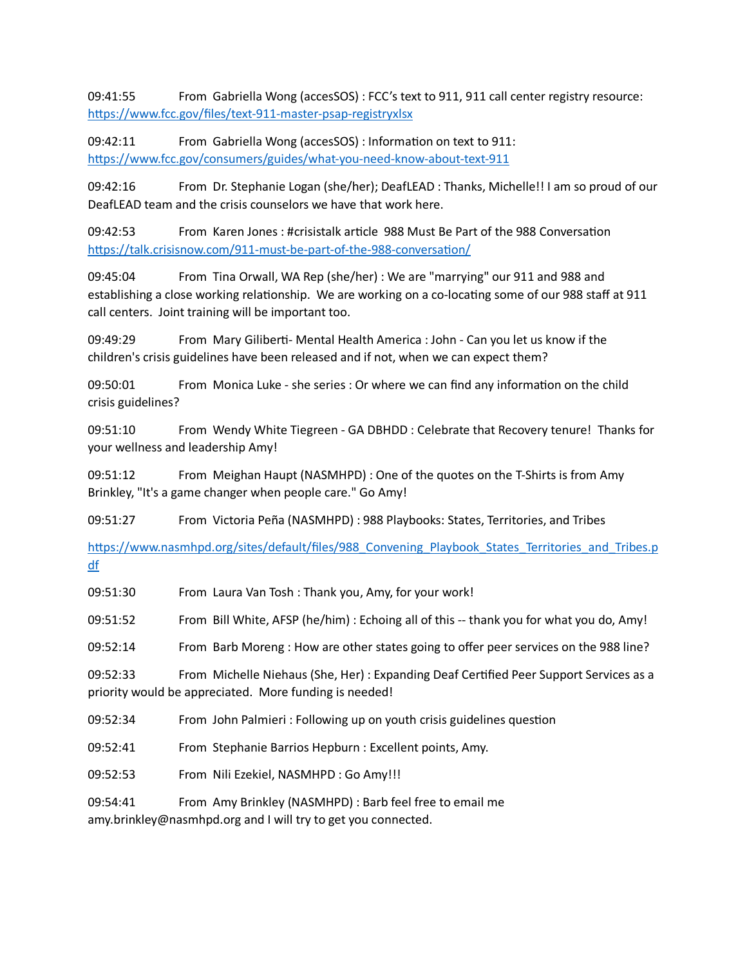09:41:55 From Gabriella Wong (accesSOS) : FCC's text to 911, 911 call center registry resource: [htps://www.fcc.gov/files/text](https://www.fcc.gov/files/text-911-master-psap-registryxlsx)-911-master-psap-registryxlsx

09:42:11 From Gabriella Wong (accesSOS) : Information on text to 911: [htps://www.fcc.gov/consumers/guides/what](https://www.fcc.gov/consumers/guides/what-you-need-know-about-text-911)-you-need-know-about-text-911

09:42:16 From Dr. Stephanie Logan (she/her); DeafLEAD : Thanks, Michelle!! I am so proud of our DeafLEAD team and the crisis counselors we have that work here.

09:42:53 From Karen Jones : #crisistalk article 988 Must Be Part of the 988 Conversation https://talk.crisisnow.com/911-must-be-part-of-the-988-conversation/

09:45:04 From Tina Orwall, WA Rep (she/her) : We are "marrying" our 911 and 988 and establishing a close working relationship. We are working on a co-locating some of our 988 staff at 911 call centers. Joint training will be important too.

09:49:29 From Mary Giliberti- Mental Health America : John - Can you let us know if the children's crisis guidelines have been released and if not, when we can expect them?

09:50:01 From Monica Luke - she series : Or where we can find any information on the child crisis guidelines?

09:51:10 From Wendy White Tiegreen - GA DBHDD : Celebrate that Recovery tenure! Thanks for your wellness and leadership Amy!

09:51:12 From Meighan Haupt (NASMHPD) : One of the quotes on the T-Shirts is from Amy Brinkley, "It's a game changer when people care." Go Amy!

09:51:27 From Victoria Peña (NASMHPD) : 988 Playbooks: States, Territories, and Tribes

https://www.nasmhpd.org/sites/default/files/988 Convening Playbook States Territories and Tribes.p [df](https://www.nasmhpd.org/sites/default/files/988_Convening_Playbook_States_Territories_and_Tribes.pdf) 

09:51:30 From Laura Van Tosh : Thank you, Amy, for your work!

09:51:52 From Bill White, AFSP (he/him) : Echoing all of this -- thank you for what you do, Amy!

09:52:14 From Barb Moreng : How are other states going to offer peer services on the 988 line?

09:52:33 From Michelle Niehaus (She, Her) : Expanding Deaf Certified Peer Support Services as a priority would be appreciated. More funding is needed!

09:52:34 From John Palmieri : Following up on youth crisis guidelines question

09:52:41 From Stephanie Barrios Hepburn : Excellent points, Amy.

09:52:53 From Nili Ezekiel, NASMHPD : Go Amy!!!

09:54:41 From Amy Brinkley (NASMHPD) : Barb feel free to email me amy.brinkley@nasmhpd.org and I will try to get you connected.